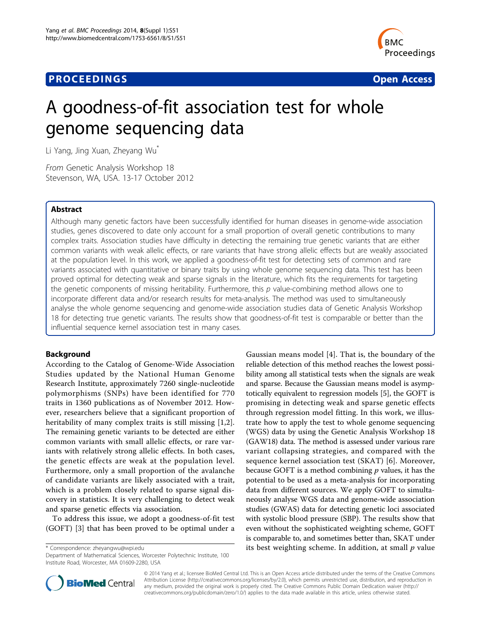## **PROCEEDINGS CONSIDERING S** Open Access **CONSIDERING S**



# A goodness-of-fit association test for whole genome sequencing data

Li Yang, Jing Xuan, Zheyang Wu\*

From Genetic Analysis Workshop 18 Stevenson, WA, USA. 13-17 October 2012

## Abstract

Although many genetic factors have been successfully identified for human diseases in genome-wide association studies, genes discovered to date only account for a small proportion of overall genetic contributions to many complex traits. Association studies have difficulty in detecting the remaining true genetic variants that are either common variants with weak allelic effects, or rare variants that have strong allelic effects but are weakly associated at the population level. In this work, we applied a goodness-of-fit test for detecting sets of common and rare variants associated with quantitative or binary traits by using whole genome sequencing data. This test has been proved optimal for detecting weak and sparse signals in the literature, which fits the requirements for targeting the genetic components of missing heritability. Furthermore, this p value-combining method allows one to incorporate different data and/or research results for meta-analysis. The method was used to simultaneously analyse the whole genome sequencing and genome-wide association studies data of Genetic Analysis Workshop 18 for detecting true genetic variants. The results show that goodness-of-fit test is comparable or better than the influential sequence kernel association test in many cases.

## Background

According to the Catalog of Genome-Wide Association Studies updated by the National Human Genome Research Institute, approximately 7260 single-nucleotide polymorphisms (SNPs) have been identified for 770 traits in 1360 publications as of November 2012. However, researchers believe that a significant proportion of heritability of many complex traits is still missing [[1,2](#page-5-0)]. The remaining genetic variants to be detected are either common variants with small allelic effects, or rare variants with relatively strong allelic effects. In both cases, the genetic effects are weak at the population level. Furthermore, only a small proportion of the avalanche of candidate variants are likely associated with a trait, which is a problem closely related to sparse signal discovery in statistics. It is very challenging to detect weak and sparse genetic effects via association.

To address this issue, we adopt a goodness-of-fit test (GOFT) [\[3](#page-5-0)] that has been proved to be optimal under a

Department of Mathematical Sciences, Worcester Polytechnic Institute, 100 Institute Road, Worcester, MA 01609-2280, USA

Gaussian means model [\[4](#page-5-0)]. That is, the boundary of the reliable detection of this method reaches the lowest possibility among all statistical tests when the signals are weak and sparse. Because the Gaussian means model is asymptotically equivalent to regression models [\[5](#page-5-0)], the GOFT is promising in detecting weak and sparse genetic effects through regression model fitting. In this work, we illustrate how to apply the test to whole genome sequencing (WGS) data by using the Genetic Analysis Workshop 18 (GAW18) data. The method is assessed under various rare variant collapsing strategies, and compared with the sequence kernel association test (SKAT) [[6\]](#page-5-0). Moreover, because GOFT is a method combining  $p$  values, it has the potential to be used as a meta-analysis for incorporating data from different sources. We apply GOFT to simultaneously analyse WGS data and genome-wide association studies (GWAS) data for detecting genetic loci associated with systolic blood pressure (SBP). The results show that even without the sophisticated weighting scheme, GOFT is comparable to, and sometimes better than, SKAT under \* Correspondence: [zheyangwu@wpi.edu](mailto:zheyangwu@wpi.edu) its best weighting scheme. In addition, at small  $p$  value



© 2014 Yang et al.; licensee BioMed Central Ltd. This is an Open Access article distributed under the terms of the Creative Commons Attribution License [\(http://creativecommons.org/licenses/by/2.0](http://creativecommons.org/licenses/by/2.0)), which permits unrestricted use, distribution, and reproduction in any medium, provided the original work is properly cited. The Creative Commons Public Domain Dedication waiver [\(http://](http://creativecommons.org/publicdomain/zero/1.0/) [creativecommons.org/publicdomain/zero/1.0/](http://creativecommons.org/publicdomain/zero/1.0/)) applies to the data made available in this article, unless otherwise stated.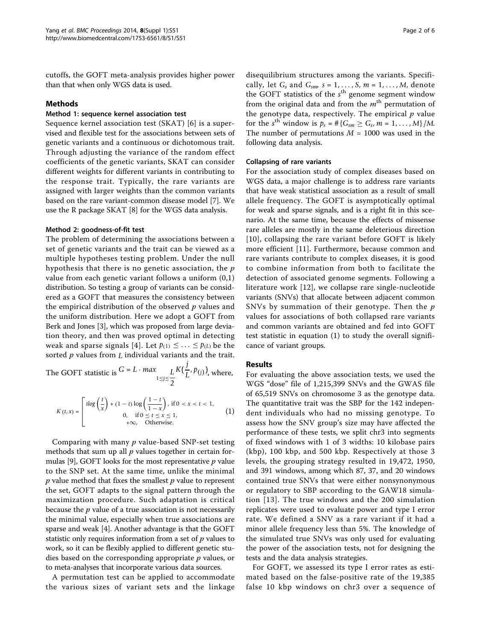cutoffs, the GOFT meta-analysis provides higher power than that when only WGS data is used.

### Methods

## Method 1: sequence kernel association test

Sequence kernel association test (SKAT) [[6](#page-5-0)] is a supervised and flexible test for the associations between sets of genetic variants and a continuous or dichotomous trait. Through adjusting the variance of the random effect coefficients of the genetic variants, SKAT can consider different weights for different variants in contributing to the response trait. Typically, the rare variants are assigned with larger weights than the common variants based on the rare variant-common disease model [\[7](#page-5-0)]. We use the R package SKAT [[8\]](#page-5-0) for the WGS data analysis.

#### Method 2: goodness-of-fit test

The problem of determining the associations between a set of genetic variants and the trait can be viewed as a multiple hypotheses testing problem. Under the null hypothesis that there is no genetic association, the  $p$ value from each genetic variant follows a uniform (0,1) distribution. So testing a group of variants can be considered as a GOFT that measures the consistency between the empirical distribution of the observed  $p$  values and the uniform distribution. Here we adopt a GOFT from Berk and Jones [\[3](#page-5-0)], which was proposed from large deviation theory, and then was proved optimal in detecting weak and sparse signals [[4](#page-5-0)]. Let  $p_{(1)} \leq \ldots \leq p_{(L)}$  be the sorted p values from *L* individual variants and the trait.

The GOFT statistic is 
$$
G = L \cdot max_{1 \le j \le \frac{L}{2}} K(\frac{j}{L}, p_{(j)})
$$
, where,

$$
K(t,x) = \begin{bmatrix} t\log\left(\frac{t}{x}\right) + (1-t)\log\left(\frac{1-t}{1-x}\right), & \text{if } 0 < x < t < 1, \\ 0, & \text{if } 0 \le t \le x \le 1, \\ 0, & +\infty, & \text{Otherwise.} \end{bmatrix} \tag{1}
$$

Comparing with many  $p$  value-based SNP-set testing methods that sum up all  $p$  values together in certain for-mulas [\[9](#page-5-0)], GOFT looks for the most representative  $p$  value to the SNP set. At the same time, unlike the minimal  $p$  value method that fixes the smallest  $p$  value to represent the set, GOFT adapts to the signal pattern through the maximization procedure. Such adaptation is critical because the  $p$  value of a true association is not necessarily the minimal value, especially when true associations are sparse and weak [\[4](#page-5-0)]. Another advantage is that the GOFT statistic only requires information from a set of  $p$  values to work, so it can be flexibly applied to different genetic studies based on the corresponding appropriate  $p$  values, or to meta-analyses that incorporate various data sources.

A permutation test can be applied to accommodate the various sizes of variant sets and the linkage

disequilibrium structures among the variants. Specifically, let *Gs* and *Gsm*, *s* = 1, *...* , *S*, *m* = 1, *...* , *M*, denote the GOFT statistics of the  $s<sup>th</sup>$  genome segment window from the original data and from the  $m<sup>th</sup>$  permutation of the genotype data, respectively. The empirical  $p$  value for the *s*<sup>th</sup> window is  $p_s = # \{G_{sm} \ge G_s, m = 1, ..., M\}/M$ . The number of permutations  $M = 1000$  was used in the following data analysis.

#### Collapsing of rare variants

For the association study of complex diseases based on WGS data, a major challenge is to address rare variants that have weak statistical association as a result of small allele frequency. The GOFT is asymptotically optimal for weak and sparse signals, and is a right fit in this scenario. At the same time, because the effects of missense rare alleles are mostly in the same deleterious direction [[10](#page-5-0)], collapsing the rare variant before GOFT is likely more efficient [[11\]](#page-5-0). Furthermore, because common and rare variants contribute to complex diseases, it is good to combine information from both to facilitate the detection of associated genome segments. Following a literature work [[12](#page-5-0)], we collapse rare single-nucleotide variants (SNVs) that allocate between adjacent common SNVs by summation of their genotype. Then the p values for associations of both collapsed rare variants and common variants are obtained and fed into GOFT test statistic in equation (1) to study the overall significance of variant groups.

### Results

For evaluating the above association tests, we used the WGS "dose" file of 1,215,399 SNVs and the GWAS file of 65,519 SNVs on chromosome 3 as the genotype data. The quantitative trait was the SBP for the 142 independent individuals who had no missing genotype. To assess how the SNV group's size may have affected the performance of these tests, we split chr3 into segments of fixed windows with 1 of 3 widths: 10 kilobase pairs (kbp), 100 kbp, and 500 kbp. Respectively at those 3 levels, the grouping strategy resulted in 19,472, 1950, and 391 windows, among which 87, 37, and 20 windows contained true SNVs that were either nonsynonymous or regulatory to SBP according to the GAW18 simulation [[13](#page-5-0)]. The true windows and the 200 simulation replicates were used to evaluate power and type I error rate. We defined a SNV as a rare variant if it had a minor allele frequency less than 5%. The knowledge of the simulated true SNVs was only used for evaluating the power of the association tests, not for designing the tests and the data analysis strategies.

For GOFT, we assessed its type I error rates as estimated based on the false-positive rate of the 19,385 false 10 kbp windows on chr3 over a sequence of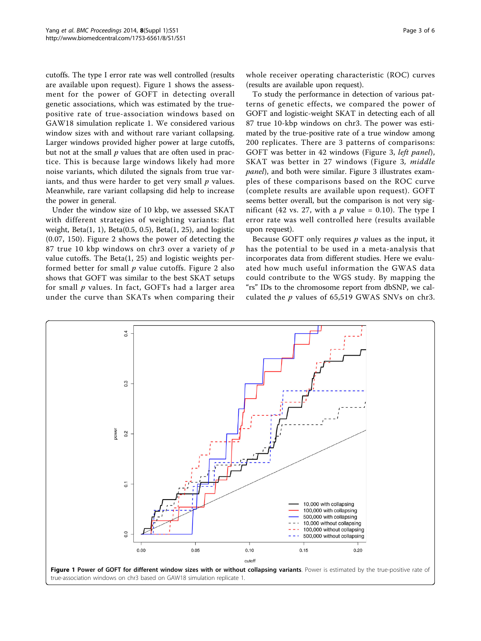cutoffs. The type I error rate was well controlled (results are available upon request). Figure 1 shows the assessment for the power of GOFT in detecting overall genetic associations, which was estimated by the truepositive rate of true-association windows based on GAW18 simulation replicate 1. We considered various window sizes with and without rare variant collapsing. Larger windows provided higher power at large cutoffs, but not at the small  $p$  values that are often used in practice. This is because large windows likely had more noise variants, which diluted the signals from true variants, and thus were harder to get very small  $p$  values. Meanwhile, rare variant collapsing did help to increase the power in general.

Under the window size of 10 kbp, we assessed SKAT with different strategies of weighting variants: flat weight, Beta $(1, 1)$ , Beta $(0.5, 0.5)$ , Beta $(1, 25)$ , and logistic (0.07, 150). Figure [2](#page-3-0) shows the power of detecting the 87 true 10 kbp windows on chr3 over a variety of  $p$ value cutoffs. The Beta $(1, 25)$  and logistic weights performed better for small  $p$  value cutoffs. Figure [2](#page-3-0) also shows that GOFT was similar to the best SKAT setups for small  $p$  values. In fact, GOFTs had a larger area under the curve than SKATs when comparing their whole receiver operating characteristic (ROC) curves (results are available upon request).

To study the performance in detection of various patterns of genetic effects, we compared the power of GOFT and logistic-weight SKAT in detecting each of all 87 true 10-kbp windows on chr3. The power was estimated by the true-positive rate of a true window among 200 replicates. There are 3 patterns of comparisons: GOFT was better in 42 windows (Figure [3](#page-3-0), left panel), SKAT was better in 27 windows (Figure [3](#page-3-0), middle panel), and both were similar. Figure [3](#page-3-0) illustrates examples of these comparisons based on the ROC curve (complete results are available upon request). GOFT seems better overall, but the comparison is not very significant (42 vs. 27, with a  $p$  value = 0.10). The type I error rate was well controlled here (results available upon request).

Because GOFT only requires  $p$  values as the input, it has the potential to be used in a meta-analysis that incorporates data from different studies. Here we evaluated how much useful information the GWAS data could contribute to the WGS study. By mapping the "rs" IDs to the chromosome report from dbSNP, we calculated the  $p$  values of 65,519 GWAS SNVs on chr3.

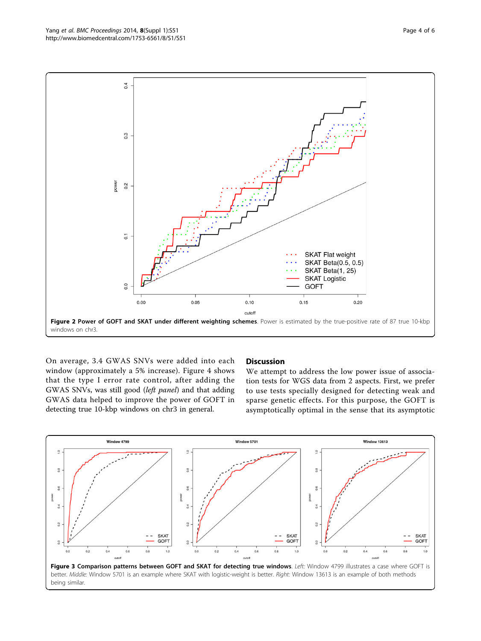<span id="page-3-0"></span>

On average, 3.4 GWAS SNVs were added into each window (approximately a 5% increase). Figure [4](#page-4-0) shows that the type I error rate control, after adding the GWAS SNVs, was still good (left panel) and that adding GWAS data helped to improve the power of GOFT in detecting true 10-kbp windows on chr3 in general.

## **Discussion**

We attempt to address the low power issue of association tests for WGS data from 2 aspects. First, we prefer to use tests specially designed for detecting weak and sparse genetic effects. For this purpose, the GOFT is asymptotically optimal in the sense that its asymptotic

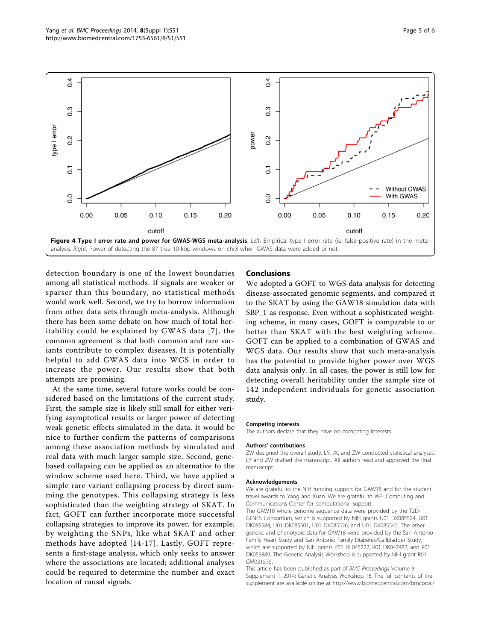<span id="page-4-0"></span>

detection boundary is one of the lowest boundaries among all statistical methods. If signals are weaker or sparser than this boundary, no statistical methods would work well. Second, we try to borrow information from other data sets through meta-analysis. Although there has been some debate on how much of total heritability could be explained by GWAS data [[7\]](#page-5-0), the common agreement is that both common and rare variants contribute to complex diseases. It is potentially helpful to add GWAS data into WGS in order to increase the power. Our results show that both attempts are promising.

At the same time, several future works could be considered based on the limitations of the current study. First, the sample size is likely still small for either verifying asymptotical results or larger power of detecting weak genetic effects simulated in the data. It would be nice to further confirm the patterns of comparisons among these association methods by simulated and real data with much larger sample size. Second, genebased collapsing can be applied as an alternative to the window scheme used here. Third, we have applied a simple rare variant collapsing process by direct summing the genotypes. This collapsing strategy is less sophisticated than the weighting strategy of SKAT. In fact, GOFT can further incorporate more successful collapsing strategies to improve its power, for example, by weighting the SNPs, like what SKAT and other methods have adopted [[14](#page-5-0)-[17\]](#page-5-0). Lastly, GOFT represents a first-stage analysis, which only seeks to answer where the associations are located; additional analyses could be required to determine the number and exact location of causal signals.

## Conclusions

We adopted a GOFT to WGS data analysis for detecting disease-associated genomic segments, and compared it to the SKAT by using the GAW18 simulation data with SBP\_1 as response. Even without a sophisticated weighting scheme, in many cases, GOFT is comparable to or better than SKAT with the best weighting scheme. GOFT can be applied to a combination of GWAS and WGS data. Our results show that such meta-analysis has the potential to provide higher power over WGS data analysis only. In all cases, the power is still low for detecting overall heritability under the sample size of 142 independent individuals for genetic association study.

#### Competing interests

The authors declare that they have no competing interests.

#### Authors' contributions

ZW designed the overall study. LY, JX, and ZW conducted statistical analyses. LY and ZW drafted the manuscript. All authors read and approved the final manuscript.

#### Acknowledgements

We are grateful to the NIH funding support for GAW18 and for the student travel awards to Yang and Xuan. We are grateful to WPI Computing and Communications Center for computational support. The GAW18 whole genome sequence data were provided by the T2D-GENES Consortium, which is supported by NIH grants U01 DK085524, U01 DK085584, U01 DK085501, U01 DK085526, and U01 DK085545. The other genetic and phenotypic data for GAW18 were provided by the San Antonio Family Heart Study and San Antonio Family Diabetes/Gallbladder Study, which are supported by NIH grants P01 HL045222, R01 DK047482, and R01 DK053889. The Genetic Analysis Workshop is supported by NIH grant R01 GM031575.

This article has been published as part of BMC Proceedings Volume 8 Supplement 1, 2014: Genetic Analysis Workshop 18. The full contents of the supplement are available online at [http://www.biomedcentral.com/bmcproc/](http://www.biomedcentral.com/bmcproc/supplements/8/S1)